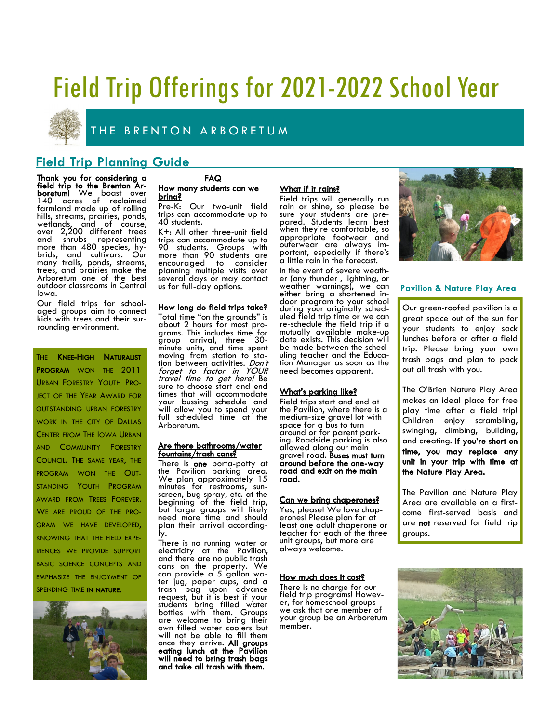# Field Trip Offerings for 2021-2022 School Year



THE BRENTON ARBORETUM

### Field Trip Planning Guide

Thank you for considering a field trip to the Brenton Arboretum! We boast over 140 acres of reclaimed farmland made up of rolling hills, streams, prairies, ponds, wetlands, and of course, over 2,200 different trees and shrubs representing more than 480 species, hybrids, and cultivars. Our many trails, ponds, streams, trees, and prairies make the Arboretum one of the best outdoor classrooms in Central Iowa.

Our field trips for schoolaged groups aim to connect kids with trees and their surrounding environment.

THE KNEE-HIGH NATURALIST PROGRAM WON THE 2011 URBAN FORESTRY YOUTH PRO-JECT OF THE YEAR AWARD FOR OUTSTANDING URBAN FORESTRY WORK IN THE CITY OF DALLAS CENTER FROM THE IOWA URBAN AND COMMUNITY FORESTRY COUNCIL. THE SAME YEAR, THE PROGRAM WON THE OUT-STANDING YOUTH PROGRAM AWARD FROM TREES FOREVER. WE ARE PROUD OF THE PRO-GRAM WE HAVE DEVELOPED, KNOWING THAT THE FIELD EXPE-RIENCES WE PROVIDE SUPPORT BASIC SCIENCE CONCEPTS AND EMPHASIZE THE ENJOYMENT OF SPENDING TIME IN NATURE.



#### FAQ How many students can we bring?

Pre-K: Our two-unit field trips can accommodate up to 40 students.

K+: All other three-unit field trips can accommodate up to 90 students. Groups with more than 90 students are encouraged to consider planning multiple visits over several days or may contact us for full-day options.

#### How long do field trips take?

Total time "on the grounds" is about 2 hours for most programs. This includes time for group arrival, three 30 minute units, and time spent moving from station to station between activities. Don't forget to factor in YOUR travel time to get here! Be sure to choose start and end times that will accommodate your bussing schedule and will allow you to spend your full scheduled time at the Arboretum.

#### Are there bathrooms/water fountains/trash cans?

There is **one** porta-potty at the Pavilion parking area. We plan approximately 15 minutes for restrooms, sunscreen, bug spray, etc. at the beginning of the field trip, but large groups will likely need more time and should plan their arrival accordingly.

There is no running water or electricity at the Pavilion, and there are no public trash cans on the property. We can provide a 5 gallon water jug, paper cups, and a trash bag upon advance request, but it is best if your students bring filled water bottles with them. Groups are welcome to bring their own filled water coolers but will not be able to fill them once they arrive. All groups eating lunch at the Pavilion will need to bring trash bags and take all trash with them.

#### What if it rains?

Field trips will generally run rain or shine, so please be sure your students are prepared. Students learn best when they're comfortable, so appropriate footwear and outerwear are always important, especially if there's a little rain in the forecast.

In the event of severe weather (any thunder , lightning, or weather warnings), we can either bring a shortened indoor program to your school during your originally scheduled field trip time or we can re-schedule the field trip if a mutually available make-up date exists. This decision will be made between the scheduling teacher and the Education Manager as soon as the need becomes apparent.

#### What's parking like?

Field trips start and end at the Pavilion, where there is a medium-size gravel lot with space for a bus to turn around or for parent parking. Roadside parking is also allowed along our main gravel road. Buses must turn around before the one-way road and exit on the main road.

#### Can we bring chaperones?

Yes, please! We love chaperones! Please plan for at least one adult chaperone or teacher for each of the three unit groups, but more are always welcome.

#### How much does it cost?

There is no charge for our field trip programs! However, for homeschool groups we ask that one member of your group be an Arboretum member.



#### Pavilion & Nature Play Area

Our green-roofed pavilion is a great space out of the sun for your students to enjoy sack lunches before or after a field trip. Please bring your own trash bags and plan to pack out all trash with you.

The O'Brien Nature Play Area makes an ideal place for free play time after a field trip! Children enjoy scrambling, swinging, climbing, building, and creating. If you're short on time, you may replace any unit in your trip with time at the Nature Play Area.

The Pavilion and Nature Play Area are available on a firstcome first-served basis and are not reserved for field trip groups.

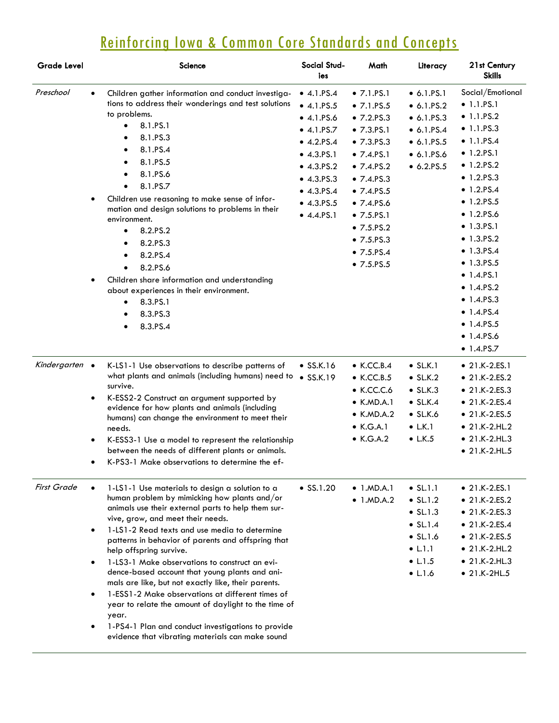# Reinforcing Iowa & Common Core Standards and Concepts

| <b>Grade Level</b> |           | <b>Science</b>                                                                                           | Social Stud-<br>ies | Math               | Literacy           | 21st Century<br><b>Skills</b> |
|--------------------|-----------|----------------------------------------------------------------------------------------------------------|---------------------|--------------------|--------------------|-------------------------------|
| Preschool          | $\bullet$ | Children gather information and conduct investiga-                                                       | $-4.1.PS.4$         | $\bullet$ 7.1.PS.1 | $\bullet$ 6.1.PS.1 | Social/Emotional              |
|                    |           | tions to address their wonderings and test solutions                                                     | $-4.1.PS.5$         | • 7.1.PS.5         | 6.1.PS.2           | $\bullet$ 1.1.PS.1            |
|                    |           | to problems.                                                                                             | $-4.1.FS.6$         | • 7.2.PS.3         | $\bullet$ 6.1.PS.3 | $\bullet$ 1.1.PS.2            |
|                    |           | 8.1.PS.1                                                                                                 | $\bullet$ 4.1.PS.7  | • 7.3.PS.1         | $\bullet$ 6.1.PS.4 | $\bullet$ 1.1.PS.3            |
|                    |           | 8.1.PS.3                                                                                                 | $-4.2.PS.4$         | • 7.3.PS.3         | 6.1.PS.5           | $\bullet$ 1.1.PS.4            |
|                    |           | 8.1.PS.4<br>٠                                                                                            | $-4.3.FS.1$         | • 7.4.PS.1         | $\bullet$ 6.1.PS.6 | • 1.2.PS.1                    |
|                    |           | 8.1.PS.5                                                                                                 | $-4.3.PS.2$         | • 7.4.PS.2         | 6.2.PS.5           | • 1.2.PS.2                    |
|                    |           | 8.1.PS.6                                                                                                 | $-4.3.PS.3$         | • 7.4.PS.3         |                    | $-1.2.PS.3$                   |
|                    |           | 8.1.PS.7                                                                                                 | $-4.3.PS.4$         | • 7.4.PS.5         |                    | $\bullet$ 1.2.PS.4            |
|                    | $\bullet$ | Children use reasoning to make sense of infor-                                                           | $-4.3.PS.5$         | • 7.4.FS.6         |                    | • 1.2.PS.5                    |
|                    |           | mation and design solutions to problems in their<br>environment.                                         | $-4.4.FS.1$         | • 7.5.PS.1         |                    | • 1.2.PS.6                    |
|                    |           | 8.2.PS.2<br>$\bullet$                                                                                    |                     | • 7.5.PS.2         |                    | • 1.3.PS.1                    |
|                    |           | 8.2.PS.3<br>٠                                                                                            |                     | • 7.5.PS.3         |                    | • 1.3.PS.2                    |
|                    |           | 8.2.PS.4                                                                                                 |                     | • 7.5.PS.4         |                    | • 1.3.PS.4                    |
|                    |           | 8.2.PS.6                                                                                                 |                     | • 7.5.PS.5         |                    | • 1.3.PS.5                    |
|                    |           | Children share information and understanding                                                             |                     |                    |                    | $\bullet$ 1.4.PS.1            |
|                    |           | about experiences in their environment.                                                                  |                     |                    |                    | • 1.4.PS.2                    |
|                    |           | 8.3.PS.1<br>$\bullet$                                                                                    |                     |                    |                    | $\bullet$ 1.4.PS.3            |
|                    |           | 8.3.PS.3                                                                                                 |                     |                    |                    | $\bullet$ 1.4.PS.4            |
|                    |           | 8.3.PS.4                                                                                                 |                     |                    |                    | $\bullet$ 1.4.PS.5            |
|                    |           |                                                                                                          |                     |                    |                    | • 1.4.PS.6                    |
|                    |           |                                                                                                          |                     |                    |                    | • 1.4.PS.7                    |
| Kindergarten •     |           | K-LS1-1 Use observations to describe patterns of                                                         | $\bullet$ SS.K.16   | $\bullet$ K.CC.B.4 | $\bullet$ SL.K.1   | $• 21.K-2.E.S.1$              |
|                    |           | what plants and animals (including humans) need to                                                       | $\bullet$ SS.K.19   | $\bullet$ K.CC.B.5 | $\bullet$ SL.K.2   | $• 21.K-2.ES.2$               |
|                    |           | survive.                                                                                                 |                     | $\bullet$ K.CC.C.6 | $\bullet$ SL.K.3   | $• 21.K-2.ES.3$               |
|                    |           | K-ESS2-2 Construct an argument supported by                                                              |                     | $\bullet$ K.MD.A.1 | $\bullet$ SL.K.4   | $• 21.K-2.ES.4$               |
|                    |           | evidence for how plants and animals (including<br>humans) can change the environment to meet their       |                     | $\bullet$ K.MD.A.2 | $\bullet$ SL.K.6   | • 21.K-2.ES.5                 |
|                    |           | needs.                                                                                                   |                     | $\bullet$ K.G.A.1  | $\bullet$ L.K.1    | $• 21.K-2.HL.2$               |
|                    | $\bullet$ | K-ESS3-1 Use a model to represent the relationship                                                       |                     | $\bullet$ K.G.A.2  | $\bullet$ L.K.5    | $• 21.K-2.HL.3$               |
|                    |           | between the needs of different plants or animals.                                                        |                     |                    |                    | $• 21.K-2.HL.5$               |
|                    | ٠         | K-PS3-1 Make observations to determine the ef-                                                           |                     |                    |                    |                               |
| <b>First Grade</b> |           | 1-LS1-1 Use materials to design a solution to a                                                          | $\bullet$ SS.1.20   | $\bullet$ 1.MD.A.1 | $\bullet$ SL.1.1   | $• 21.K-2.E.S.1$              |
|                    |           | human problem by mimicking how plants and/or                                                             |                     | $\bullet$ 1.MD.A.2 | $\bullet$ SL.1.2   | • 21.K-2.ES.2                 |
|                    |           | animals use their external parts to help them sur-                                                       |                     |                    | $\bullet$ SL.1.3   | $• 21.K-2.E.S.3$              |
|                    |           | vive, grow, and meet their needs.                                                                        |                     |                    | $\bullet$ SL.1.4   | $• 21.K-2.ES.4$               |
|                    | $\bullet$ | 1-LS1-2 Read texts and use media to determine                                                            |                     |                    | $\bullet$ SL.1.6   | • 21.K-2.ES.5                 |
|                    |           | patterns in behavior of parents and offspring that<br>help offspring survive.                            |                     |                    | $\bullet$ L.1.1    | $• 21.K-2.HL.2$               |
|                    |           | 1-LS3-1 Make observations to construct an evi-                                                           |                     |                    | $\bullet$ L.1.5    | $\bullet$ 21.K-2.HL.3         |
|                    |           | dence-based account that young plants and ani-                                                           |                     |                    | $\bullet$ L.1.6    | $• 21.K-2HL.5$                |
|                    |           | mals are like, but not exactly like, their parents.                                                      |                     |                    |                    |                               |
|                    | $\bullet$ | 1-ESS1-2 Make observations at different times of<br>year to relate the amount of daylight to the time of |                     |                    |                    |                               |
|                    |           | year.                                                                                                    |                     |                    |                    |                               |
|                    |           | 1-PS4-1 Plan and conduct investigations to provide<br>evidence that vibrating materials can make sound   |                     |                    |                    |                               |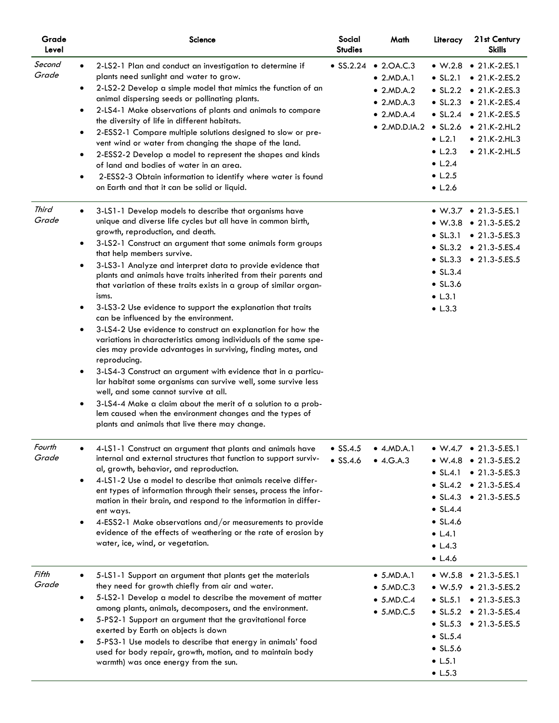| Grade<br>Level  | Science                                                                                                                                                                                                                                                                                                                                                                                                                                                                                                                                                                                                                                                                                                                                                                                                                                                                                                                                                                                                                                                                                                                                                                                                                             | Social<br><b>Studies</b>             | Math                                                                                                                                | Literacy                                                                                                                                                | 21st Century<br><b>Skills</b>                                                                                                                                                                        |
|-----------------|-------------------------------------------------------------------------------------------------------------------------------------------------------------------------------------------------------------------------------------------------------------------------------------------------------------------------------------------------------------------------------------------------------------------------------------------------------------------------------------------------------------------------------------------------------------------------------------------------------------------------------------------------------------------------------------------------------------------------------------------------------------------------------------------------------------------------------------------------------------------------------------------------------------------------------------------------------------------------------------------------------------------------------------------------------------------------------------------------------------------------------------------------------------------------------------------------------------------------------------|--------------------------------------|-------------------------------------------------------------------------------------------------------------------------------------|---------------------------------------------------------------------------------------------------------------------------------------------------------|------------------------------------------------------------------------------------------------------------------------------------------------------------------------------------------------------|
| Second<br>Grade | 2-LS2-1 Plan and conduct an investigation to determine if<br>plants need sunlight and water to grow.<br>2-LS2-2 Develop a simple model that mimics the function of an<br>$\bullet$<br>animal dispersing seeds or pollinating plants.<br>2-LS4-1 Make observations of plants and animals to compare<br>$\bullet$<br>the diversity of life in different habitats.<br>2-ESS2-1 Compare multiple solutions designed to slow or pre-<br>$\bullet$<br>vent wind or water from changing the shape of the land.<br>2-ESS2-2 Develop a model to represent the shapes and kinds<br>$\bullet$<br>of land and bodies of water in an area.<br>2-ESS2-3 Obtain information to identify where water is found<br>$\bullet$<br>on Earth and that it can be solid or liquid.                                                                                                                                                                                                                                                                                                                                                                                                                                                                          | $\bullet$ SS.2.24                    | $\bullet$ 2.0A.C.3<br>$\bullet$ 2.MD.A.1<br>$\bullet$ 2.MD.A.2<br>$\bullet$ 2.MD.A.3<br>$\bullet$ 2.MD.A.4<br>$\bullet$ 2.MD.D.IA.2 | $\bullet$ SL.2.1<br>$\bullet$ SL.2.2<br>$\bullet$ SL.2.6<br>$\bullet$ L.2.1<br>$\bullet$ L.2.3<br>$\bullet$ L.2.4<br>$\bullet$ L.2.5<br>$\bullet$ L.2.6 | • W.2.8 • 21.K-2.ES.1<br>$• 21.K-2.ES.2$<br>$\bullet$ 21.K-2.ES.3<br>• $SL.2.3$ • 21.K-2.ES.4<br>• $SL.2.4$ • 21.K-2.ES.5<br>$\bullet$ 21.K-2.HL.2<br>$\bullet$ 21.K-2.HL.3<br>$\bullet$ 21.K-2.HL.5 |
| Third<br>Grade  | 3-LS1-1 Develop models to describe that organisms have<br>$\bullet$<br>unique and diverse life cycles but all have in common birth,<br>growth, reproduction, and death.<br>3-LS2-1 Construct an argument that some animals form groups<br>$\bullet$<br>that help members survive.<br>3-LS3-1 Analyze and interpret data to provide evidence that<br>$\bullet$<br>plants and animals have traits inherited from their parents and<br>that variation of these traits exists in a group of similar organ-<br>isms.<br>3-LS3-2 Use evidence to support the explanation that traits<br>٠<br>can be influenced by the environment.<br>3-LS4-2 Use evidence to construct an explanation for how the<br>٠<br>variations in characteristics among individuals of the same spe-<br>cies may provide advantages in surviving, finding mates, and<br>reproducing.<br>3-LS4-3 Construct an argument with evidence that in a particu-<br>٠<br>lar habitat some organisms can survive well, some survive less<br>well, and some cannot survive at all.<br>3-LS4-4 Make a claim about the merit of a solution to a prob-<br>$\bullet$<br>lem caused when the environment changes and the types of<br>plants and animals that live there may change. |                                      |                                                                                                                                     | $\bullet$ SL.3.1<br>$\bullet$ SL.3.2<br>$\bullet$ SL.3.3<br>$\bullet$ SL.3.4<br>$\bullet$ SL.3.6<br>$\bullet$ L.3.1<br>$\bullet$ L.3.3                  | • W.3.7 • 21.3-5.ES.1<br>• $W.3.8$ • 21.3-5.ES.2<br>$\bullet$ 21.3-5.ES.3<br>$\bullet$ 21.3-5.ES.4<br>• 21.3-5.ES.5                                                                                  |
| Fourth<br>Grade | 4-LS1-1 Construct an argument that plants and animals have<br>internal and external structures that function to support surviv-<br>al, growth, behavior, and reproduction.<br>4-LS1-2 Use a model to describe that animals receive differ-<br>$\bullet$<br>ent types of information through their senses, process the infor-<br>mation in their brain, and respond to the information in differ-<br>ent ways.<br>4-ESS2-1 Make observations and/or measurements to provide<br>$\bullet$<br>evidence of the effects of weathering or the rate of erosion by<br>water, ice, wind, or vegetation.                                                                                                                                                                                                                                                                                                                                                                                                                                                                                                                                                                                                                                      | $\bullet$ SS.4.5<br>$\bullet$ SS.4.6 | $\bullet$ 4.MD.A.1<br>• 4.G.A.3                                                                                                     | $\bullet$ SL.4.1<br>$\bullet$ SL.4.4<br>$\bullet$ SL.4.6<br>$\bullet$ L.4.1<br>$\bullet$ L.4.3<br>$\bullet$ L.4.6                                       | • W.4.7 • 21.3-5.ES.1<br>• W.4.8 • 21.3-5.ES.2<br>$\bullet$ 21.3-5.ES.3<br>• $SL.4.2$ • 21.3-5.ES.4<br>• $SL.4.3$ • 21.3-5.ES.5                                                                      |
| Fifth<br>Grade  | 5-LS1-1 Support an argument that plants get the materials<br>they need for growth chiefly from air and water.<br>5-LS2-1 Develop a model to describe the movement of matter<br>٠<br>among plants, animals, decomposers, and the environment.<br>5-PS2-1 Support an argument that the gravitational force<br>$\bullet$<br>exerted by Earth on objects is down<br>5-PS3-1 Use models to describe that energy in animals' food<br>٠<br>used for body repair, growth, motion, and to maintain body<br>warmth) was once energy from the sun.                                                                                                                                                                                                                                                                                                                                                                                                                                                                                                                                                                                                                                                                                             |                                      | $\bullet$ 5.MD.A.1<br>• 5.MD.C.3<br>$\bullet$ 5.MD.C.4<br>$\bullet$ 5.MD.C.5                                                        | $\bullet$ SL.5.1<br>$\bullet$ SL.5.3<br>$\bullet$ SL.5.4<br>$\bullet$ SL.5.6<br>$\bullet$ L.5.1<br>$\bullet$ L.5.3                                      | $\bullet$ W.5.8 $\bullet$ 21.3-5.ES.1<br>$W.5.9$ $\bullet$ 21.3-5.ES.2<br>$\bullet$ 21.3-5.ES.3<br>• SL.5.2 • 21.3-5.ES.4<br>$\bullet$ 21.3-5.ES.5                                                   |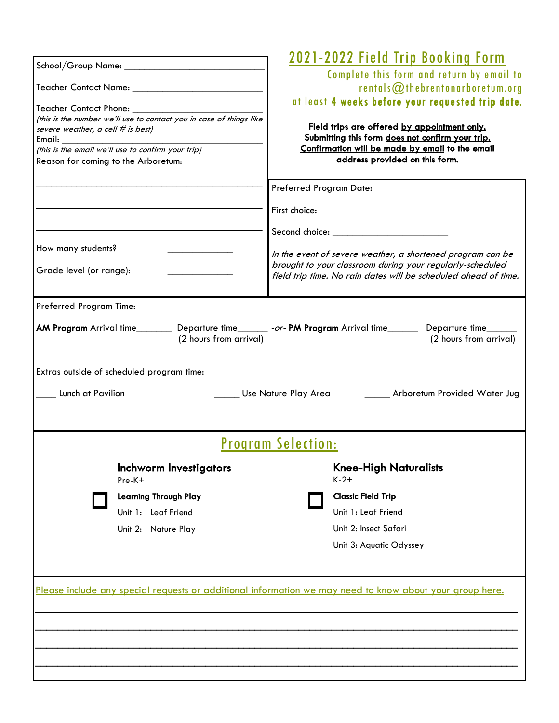|                                     |                                                                     |                           | <u> 2021–2022 Field Trip Booking Form</u>                                                                               |
|-------------------------------------|---------------------------------------------------------------------|---------------------------|-------------------------------------------------------------------------------------------------------------------------|
|                                     |                                                                     |                           | Complete this form and return by email to                                                                               |
|                                     |                                                                     |                           | rentals@thebrentonarboretum.org                                                                                         |
|                                     |                                                                     |                           | at least 4 weeks before your requested trip date.                                                                       |
| Teacher Contact Phone: __________   | (this is the number we'll use to contact you in case of things like |                           |                                                                                                                         |
| severe weather, a cell # is best)   |                                                                     |                           | Field trips are offered by appointment only.                                                                            |
|                                     | (this is the email we'll use to confirm your trip)                  |                           | Submitting this form does not confirm your trip.<br>Confirmation will be made by email to the email                     |
| Reason for coming to the Arboretum: |                                                                     |                           | address provided on this form.                                                                                          |
|                                     |                                                                     |                           |                                                                                                                         |
|                                     |                                                                     | Preferred Program Date:   |                                                                                                                         |
|                                     |                                                                     |                           |                                                                                                                         |
|                                     |                                                                     |                           |                                                                                                                         |
| How many students?                  |                                                                     |                           |                                                                                                                         |
|                                     |                                                                     |                           | In the event of severe weather, a shortened program can be<br>brought to your classroom during your regularly-scheduled |
| Grade level (or range):             |                                                                     |                           | field trip time. No rain dates will be scheduled ahead of time.                                                         |
|                                     |                                                                     |                           |                                                                                                                         |
| Preferred Program Time:             |                                                                     |                           |                                                                                                                         |
|                                     |                                                                     |                           | AM Program Arrival time__________ Departure time________ -or- PM Program Arrival time________ Departure time_______     |
|                                     | (2 hours from arrival)                                              |                           | (2 hours from arrival)                                                                                                  |
|                                     |                                                                     |                           |                                                                                                                         |
|                                     | Extras outside of scheduled program time:                           |                           |                                                                                                                         |
|                                     |                                                                     |                           |                                                                                                                         |
| Lunch at Pavilion                   |                                                                     | Use Nature Play Area      | Arboretum Provided Water Jug                                                                                            |
|                                     |                                                                     |                           |                                                                                                                         |
|                                     |                                                                     | <b>Program Selection:</b> |                                                                                                                         |
|                                     |                                                                     |                           |                                                                                                                         |
|                                     | Inchworm Investigators                                              |                           | <b>Knee-High Naturalists</b><br>$K-2+$                                                                                  |
|                                     | Pre-K+                                                              |                           |                                                                                                                         |
|                                     | <b>Learning Through Play</b>                                        |                           | <b>Classic Field Trip</b>                                                                                               |
|                                     | Unit 1: Leaf Friend                                                 |                           | Unit 1: Leaf Friend                                                                                                     |
|                                     | Unit 2: Nature Play                                                 |                           | Unit 2: Insect Safari                                                                                                   |
|                                     |                                                                     |                           | Unit 3: Aquatic Odyssey                                                                                                 |
|                                     |                                                                     |                           |                                                                                                                         |
|                                     |                                                                     |                           |                                                                                                                         |
|                                     |                                                                     |                           | Please include any special requests or additional information we may need to know about your group here.                |
|                                     |                                                                     |                           |                                                                                                                         |
|                                     |                                                                     |                           |                                                                                                                         |
|                                     |                                                                     |                           |                                                                                                                         |
|                                     |                                                                     |                           |                                                                                                                         |
|                                     |                                                                     |                           |                                                                                                                         |